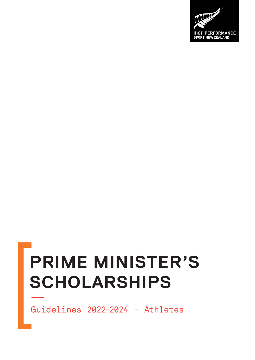# **PRIME MINISTER'S SCHOLARSHIPS**

Guidelines 2022-2024 - Athletes

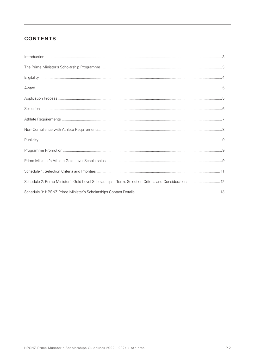# **CONTENTS**

| $\label{prop:1} \mbox{Introduction} \,\, \ldots \,\, \ldots \,\, \ldots \,\, \ldots \,\, \ldots \,\, \ldots \,\, \ldots \,\, \ldots \,\, \ldots \,\, \ldots \,\, \ldots \,\, \ldots \,\, \ldots \,\, \ldots \,\, \ldots \,\, \ldots \,\, \ldots \,\, \ldots \,\, \ldots \,\, \ldots \,\, \ldots \,\, \ldots \,\, \ldots \,\, \ldots \,\, \ldots \,\, \ldots \,\, \ldots \,\, \ldots \,\, \ldots \,\, \ldots \,\, \ldots \,\, \ldots \,\, \ldots \,\, \ldots \,\,$ |  |
|-------------------------------------------------------------------------------------------------------------------------------------------------------------------------------------------------------------------------------------------------------------------------------------------------------------------------------------------------------------------------------------------------------------------------------------------------------------------|--|
|                                                                                                                                                                                                                                                                                                                                                                                                                                                                   |  |
|                                                                                                                                                                                                                                                                                                                                                                                                                                                                   |  |
|                                                                                                                                                                                                                                                                                                                                                                                                                                                                   |  |
|                                                                                                                                                                                                                                                                                                                                                                                                                                                                   |  |
|                                                                                                                                                                                                                                                                                                                                                                                                                                                                   |  |
|                                                                                                                                                                                                                                                                                                                                                                                                                                                                   |  |
|                                                                                                                                                                                                                                                                                                                                                                                                                                                                   |  |
|                                                                                                                                                                                                                                                                                                                                                                                                                                                                   |  |
|                                                                                                                                                                                                                                                                                                                                                                                                                                                                   |  |
|                                                                                                                                                                                                                                                                                                                                                                                                                                                                   |  |
|                                                                                                                                                                                                                                                                                                                                                                                                                                                                   |  |
| Schedule 2: Prime Minister's Gold Level Scholarships - Term, Selection Criteria and Considerations 12                                                                                                                                                                                                                                                                                                                                                             |  |
|                                                                                                                                                                                                                                                                                                                                                                                                                                                                   |  |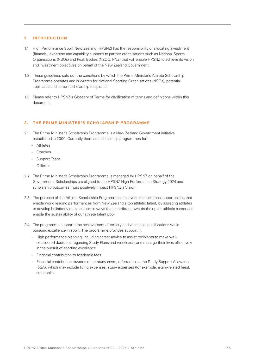## **1. INTRODUCTION**

- 1.1 High Performance Sport New Zealand (HPSNZ) has the responsibility of allocating investment (financial, expertise and capability support) to partner organisations such as National Sports Organisations (NSOs) and Peak Bodies (NZOC, PNZ) that will enable HPSNZ to achieve its vision and investment objectives on behalf of the New Zealand Government.
- 1.2 These guidelines sets out the conditions by which the Prime Minister's Athlete Scholarship Programme operates and is written for National Sporting Organisations (NSOs), potential applicants and current scholarship recipients.
- 1.3 Please refer to HPSNZ's Glossary of Terms for clarification of terms and definitions within this document.

## 2. THE PRIME MINISTER'S SCHOLARSHIP PROGRAMME

- 2.1 The Prime Minister's Scholarship Programme is a New Zealand Government initiative established in 2000. Currently there are scholarship programmes for:
	- Athletes
	- Coaches
	- Support Team
	- Officials
- 2.2 The Prime Minister's Scholarship Programme is managed by HPSNZ on behalf of the Government. Scholarships are aligned to the HPSNZ High Performance Strategy 2024 and scholarship outcomes must positively impact HPSNZ's Vision.
- 2.3 The purpose of the Athlete Scholarship Programme is to invest in educational opportunities that enable world leading performances from New Zealand's top athletic talent, by assisting athletes to develop holistically outside sport in ways that contribute towards their post-athletic career and enable the sustainability of our athlete talent pool.
- 2.4 The programme supports the achievement of tertiary and vocational qualifications while pursuing excellence in sport. The programme provides support in:
	- High performance planning, including career advice to assist recipients to make wellconsidered decisions regarding Study Plans and workloads, and manage their lives effectively in the pursuit of sporting excellence
	- Financial contribution to academic fees
	- Financial contribution towards other study costs, referred to as the Study Support Allowance (SSA), which may include living expenses, study expenses (for example, exam-related fees), and books.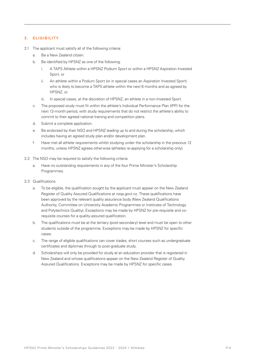# **3. ELIGIBILITY**

- 3.1 The applicant must satisfy all of the following criteria:
	- a. Be a New Zealand citizen.
	- b. Be identified by HPSNZ as one of the following:
		- i. A TAPS Athlete within a HPSNZ Podium Sport or within a HPSNZ Aspiration Invested Sport, or
		- ii. An athlete within a Podium Sport (or in special cases an Aspiration Invested Sport) who is likely to become a TAPS athlete within the next 6 months and as agreed by HPSNZ, or
		- iii. In special cases, at the discretion of HPSNZ, an athlete in a non-Invested Sport.
	- c. The proposed study must fit within the athlete's Individual Performance Plan (IPP) for the next 12-month period, with study requirements that do not restrict the athlete's ability to commit to their agreed national training and competition plans.
	- d. Submit a complete application.
	- e. Be endorsed by their NSO and HPSNZ leading up to and during the scholarship, which includes having an agreed study plan and/or development plan.
	- f. Have met all athlete requirements whilst studying under the scholarship in the previous 12 months, unless HPSNZ agrees otherwise (athletes re-applying for a scholarship only).
- 3.2 The NSO may be required to satisfy the following criteria:
	- a. Have no outstanding requirements in any of the four Prime Minister's Scholarship Programmes.
- 3.3 Qualifications
	- a. To be eligible, the qualification sought by the applicant must appear on the New Zealand Register of Quality Assured Qualifications at nzqa.govt.nz. These qualifications have been approved by the relevant quality assurance body (New Zealand Qualifications Authority, Committee on University Academic Programmes or Institutes of Technology and Polytechnics Quality). Exceptions may be made by HPSNZ for pre-requisite and corequisite courses for a quality-assured qualification.
	- b. The qualifications must be at the tertiary (post-secondary) level and must be open to other students outside of the programme. Exceptions may be made by HPSNZ for specific cases.
	- c. The range of eligible qualifications can cover trades, short courses such as undergraduate certificates and diplomas through to post-graduate study.
	- d. Scholarships will only be provided for study at an education provider that is registered in New Zealand and whose qualifications appear on the New Zealand Register of Quality Assured Qualifications. Exceptions may be made by HPSNZ for specific cases.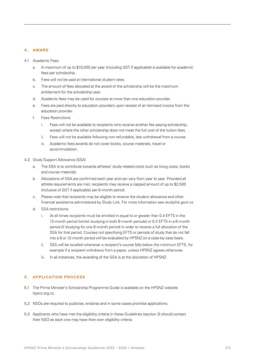# **4. AWARD**

- 4.1 Academic Fees
	- a. A maximum of up to \$10,000 per year (including GST if applicable) is available for academic fees per scholarship.
	- b. Fees will not be paid at international student rates.
	- c. The amount of fees allocated at the award of the scholarship will be the maximum entitlement for the scholarship year.
	- d. Academic fees may be used for courses at more than one education provider.
	- e. Fees are paid directly to education providers upon receipt of an itemised invoice from the education provider.
	- f. Fees Restrictions
		- i. Fees will not be available to recipients who receive another fee-paying scholarship, except where the other scholarship does not meet the full cost of the tuition fees.
		- ii. Fees will not be available following non-refundable, late withdrawal from a course.
		- iii. Academic fees awards do not cover books, course materials, travel or accommodation.
- 4.2 Study Support Allowance (SSA)
	- a. The SSA is to contribute towards athletes' study-related costs such as living costs, books and course materials.
	- b. Allocations of SSA are confirmed each year and can vary from year to year. Provided all athlete requirements are met, recipients may receive a capped amount of up to \$2,500 (inclusive of GST if applicable) per 6-month period.
	- c. Please note that recipients may be eligible to receive the student allowance and other financial assistance administered by Study Link. For more information see studylink.govt.nz.
	- d. SSA restrictions:
		- i. At all times recipients must be enrolled in equal to or greater than 0.4 EFTS in the 12-month period (whilst studying in both 6-month periods) or 0.2 EFTS in a 6-month period (if studying for one 6-month period) in order to receive a full allocation of the SSA for that period. Courses not specifying EFTS or periods of study that do not fall into a 6 or 12-month period will be evaluated by HPSNZ on a case-by-case basis.
		- ii. SSA will be recalled whenever a recipient's course falls below the minimum EFTS, for example if a recipient withdraws from a paper, unless HPSNZ agrees otherwise.
		- iii. In all instances, the awarding of the SSA is at the discretion of HPSNZ.

#### **5. APPLICATION PROCESS**

- 5.1 The Prime Minister's Scholarship Programme Guide is available on the HPSNZ website hpsnz.org.nz.
- 5.2 NSOs are required to publicise, endorse and in some cases prioritise applications.
- 5.3 Applicants who have met the eligibility criteria in these Guidelines (section 3) should contact their NSO as each one may have their own eligibility criteria.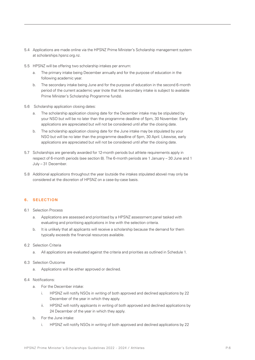- 5.4 Applications are made online via the HPSNZ Prime Minister's Scholarship management system at scholarships.hpsnz.org.nz.
- 5.5 HPSNZ will be offering two scholarship intakes per annum:
	- a. The primary intake being December annually and for the purpose of education in the following academic year.
	- b. The secondary intake being June and for the purpose of education in the second 6-month period of the current academic year (note that the secondary intake is subject to available Prime Minister's Scholarship Programme funds).
- 5.6 Scholarship application closing dates:
	- a. The scholarship application closing date for the December intake may be stipulated by your NSO but will be no later than the programme deadline of 5pm, 30 November. Early applications are appreciated but will not be considered until after the closing date.
	- b. The scholarship application closing date for the June intake may be stipulated by your NSO but will be no later than the programme deadline of 5pm, 30 April. Likewise, early applications are appreciated but will not be considered until after the closing date.
- 5.7 Scholarships are generally awarded for 12-month periods but athlete requirements apply in respect of 6-month periods (see section 8). The 6-month periods are 1 January – 30 June and 1 July – 31 December.
- 5.8 Additional applications throughout the year (outside the intakes stipulated above) may only be considered at the discretion of HPSNZ on a case-by-case basis.

# **6. SELECTION**

- 6.1 Selection Process
	- a. Applications are assessed and prioritised by a HPSNZ assessment panel tasked with evaluating and prioritising applications in line with the selection criteria.
	- b. It is unlikely that all applicants will receive a scholarship because the demand for them typically exceeds the financial resources available.
- 6.2 Selection Criteria
	- a. All applications are evaluated against the criteria and priorities as outlined in Schedule 1.
- 6.3 Selection Outcome
	- a. Applications will be either approved or declined.
- 6.4 Notifications:
	- a. For the December intake:
		- i. HPSNZ will notify NSOs in writing of both approved and declined applications by 22 December of the year in which they apply.
		- ii. HPSNZ will notify applicants in writing of both approved and declined applications by 24 December of the year in which they apply.
	- b. For the June intake:
		- i. HPSNZ will notify NSOs in writing of both approved and declined applications by 22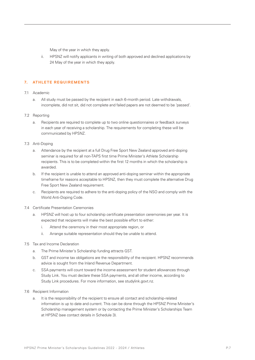May of the year in which they apply.

ii. HPSNZ will notify applicants in writing of both approved and declined applications by 24 May of the year in which they apply.

# **7. ATHLETE REQUIREMENTS**

## 7.1 Academic

a. All study must be passed by the recipient in each 6-month period. Late withdrawals, incomplete, did not sit, did not complete and failed papers are not deemed to be 'passed'.

## 7.2 Reporting

a. Recipients are required to complete up to two online questionnaires or feedback surveys in each year of receiving a scholarship. The requirements for completing these will be communicated by HPSNZ.

## 7.3 Anti-Doping

- a. Attendance by the recipient at a full Drug Free Sport New Zealand approved anti-doping seminar is required for all non-TAPS first time Prime Minister's Athlete Scholarship recipients. This is to be completed within the first 12 months in which the scholarship is awarded.
- b. If the recipient is unable to attend an approved anti-doping seminar within the appropriate timeframe for reasons acceptable to HPSNZ, then they must complete the alternative Drug Free Sport New Zealand requirement.
- c. Recipients are required to adhere to the anti-doping policy of the NSO and comply with the World Anti-Doping Code.

## 7.4 Certificate Presentation Ceremonies

- a. HPSNZ will host up to four scholarship certificate presentation ceremonies per year. It is expected that recipients will make the best possible effort to either:
	- i. Attend the ceremony in their most appropriate region, or
	- ii. Arrange suitable representation should they be unable to attend.
- 7.5 Tax and Income Declaration
	- a. The Prime Minister's Scholarship funding attracts GST.
	- b. GST and income tax obligations are the responsibility of the recipient. HPSNZ recommends advice is sought from the Inland Revenue Department.
	- c. SSA payments will count toward the income assessment for student allowances through Study Link. You must declare these SSA payments, and all other income, according to Study Link procedures. For more information, see studylink.govt.nz.

#### 7.6 Recipient Information

a. It is the responsibility of the recipient to ensure all contact and scholarship-related information is up to date and current. This can be done through the HPSNZ Prime Minister's Scholarship management system or by contacting the Prime Minister's Scholarships Team at HPSNZ (see contact details in Schedule 3).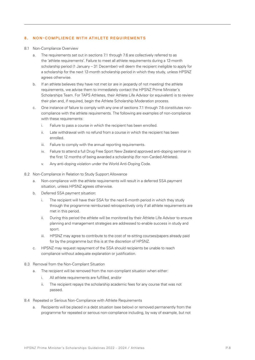## **8. NON-COMPLIENCE WITH ATHLETE REQUIREMENTS**

- 8.1 Non-Compliance Overview
	- a. The requirements set out in sections 7.1 through 7.6 are collectively referred to as the 'athlete requirements'. Failure to meet all athlete requirements during a 12-month scholarship period (1 January – 31 December) will deem the recipient ineligible to apply for a scholarship for the next 12-month scholarship period in which they study, unless HPSNZ agrees otherwise.
	- b. If an athlete believes they have not met (or are in jeopardy of not meeting) the athlete requirements, we advise them to immediately contact the HPSNZ Prime Minister's Scholarships Team. For TAPS Athletes, their Athlete Life Advisor (or equivalent) is to review their plan and, if required, begin the Athlete Scholarship Moderation process.
	- c. One instance of failure to comply with any one of sections 7.1 through 7.6 constitutes noncompliance with the athlete requirements. The following are examples of non-compliance with these requirements:
		- i. Failure to pass a course in which the recipient has been enrolled.
		- ii. Late withdrawal with no refund from a course in which the recipient has been enrolled.
		- iii. Failure to comply with the annual reporting requirements.
		- iv. Failure to attend a full Drug Free Sport New Zealand approved anti-doping seminar in the first 12 months of being awarded a scholarship (for non-Carded Athletes).
		- v. Any anti-doping violation under the World Anti-Doping Code.
- 8.2 Non-Compliance in Relation to Study Support Allowance
	- a. Non-compliance with the athlete requirements will result in a deferred SSA payment situation, unless HPSNZ agrees otherwise.
	- b. Deferred SSA payment situation:
		- i. The recipient will have their SSA for the next 6-month period in which they study through the programme reimbursed retrospectively only if all athlete requirements are met in this period.
		- ii. During this period the athlete will be monitored by their Athlete Life Advisor to ensure planning and management strategies are addressed to enable success in study and sport.
		- iii. HPSNZ may agree to contribute to the cost of re-sitting courses/papers already paid for by the programme but this is at the discretion of HPSNZ.
	- c. HPSNZ may request repayment of the SSA should recipients be unable to reach compliance without adequate explanation or justification.
- 8.3 Removal from the Non-Compliant Situation
	- a. The recipient will be removed from the non-compliant situation when either:
		- i. All athlete requirements are fulfilled, and/or
		- ii. The recipient repays the scholarship academic fees for any course that was not passed.
- 8.4 Repeated or Serious Non-Compliance with Athlete Requirements
	- a. Recipients will be placed in a debt situation (see below) or removed permanently from the programme for repeated or serious non-compliance including, by way of example, but not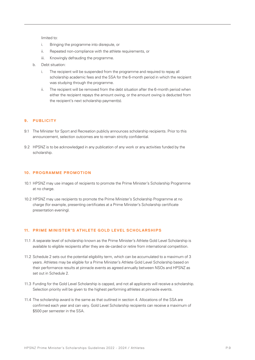limited to:

- i. Bringing the programme into disrepute, or
- ii. Repeated non-compliance with the athlete requirements, or
- iii. Knowingly defrauding the programme.
- b. Debt situation:
	- i. The recipient will be suspended from the programme and required to repay all scholarship academic fees and the SSA for the 6-month period in which the recipient was studying through the programme.
	- ii. The recipient will be removed from the debt situation after the 6-month period when either the recipient repays the amount owing, or the amount owing is deducted from the recipient's next scholarship payment(s).

# **9. PUBLICITY**

- 9.1 The Minister for Sport and Recreation publicly announces scholarship recipients. Prior to this announcement, selection outcomes are to remain strictly confidential.
- 9.2 HPSNZ is to be acknowledged in any publication of any work or any activities funded by the scholarship.

#### **10. PROGRAMME PROMOTION**

- 10.1 HPSNZ may use images of recipients to promote the Prime Minister's Scholarship Programme at no charge.
- 10.2 HPSNZ may use recipients to promote the Prime Minister's Scholarship Programme at no charge (for example, presenting certificates at a Prime Minister's Scholarship certificate presentation evening).

#### 11. PRIME MINISTER'S ATHLETE GOLD LEVEL SCHOLARSHIPS

- 11.1 A separate level of scholarship known as the Prime Minister's Athlete Gold Level Scholarship is available to eligible recipients after they are de-carded or retire from international competition.
- 11.2 Schedule 2 sets out the potential eligibility term, which can be accumulated to a maximum of 3 years. Athletes may be eligible for a Prime Minister's Athlete Gold Level Scholarship based on their performance results at pinnacle events as agreed annually between NSOs and HPSNZ as set out in Schedule 2.
- 11.3 Funding for the Gold Level Scholarship is capped, and not all applicants will receive a scholarship. Selection priority will be given to the highest performing athletes at pinnacle events.
- 11.4 The scholarship award is the same as that outlined in section 4. Allocations of the SSA are confirmed each year and can vary. Gold Level Scholarship recipients can receive a maximum of \$500 per semester in the SSA.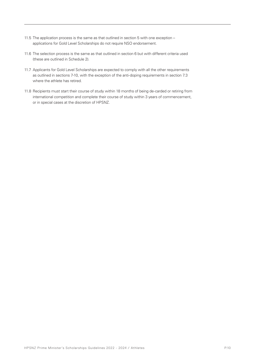- 11.5 The application process is the same as that outlined in section 5 with one exception applications for Gold Level Scholarships do not require NSO endorsement.
- 11.6 The selection process is the same as that outlined in section 6 but with different criteria used (these are outlined in Schedule 2).
- 11.7 Applicants for Gold Level Scholarships are expected to comply with all the other requirements as outlined in sections 7-10, with the exception of the anti-doping requirements in section 7.3 where the athlete has retired.
- 11.8 Recipients must start their course of study within 18 months of being de-carded or retiring from international competition and complete their course of study within 3 years of commencement, or in special cases at the discretion of HPSNZ.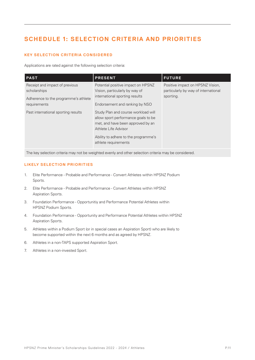# **SCHEDULE 1: SELECTION CRITERIA AND PRIORITIES**

# **KEY SELECTION CRITERIA CONSIDERED**

Applications are rated against the following selection criteria:

| <b>PAST</b>                                                                                            | <b>PRESENT</b>                                                                                                                                                                                          | <b>FUTURE</b>                                                                         |
|--------------------------------------------------------------------------------------------------------|---------------------------------------------------------------------------------------------------------------------------------------------------------------------------------------------------------|---------------------------------------------------------------------------------------|
| Receipt and impact of previous<br>scholarships<br>Adherence to the programme's athlete<br>requirements | Potential positive impact on HPSNZ<br>Vision, particularly by way of<br>international sporting results<br>Endorsement and ranking by NSO                                                                | Positive impact on HPSNZ Vision,<br>particularly by way of international<br>sporting. |
| Past international sporting results                                                                    | Study Plan and course workload will<br>allow sport performance goals to be<br>met, and have been approved by an<br>Athlete Life Advisor<br>Ability to adhere to the programme's<br>athlete requirements |                                                                                       |

The key selection criteria may not be weighted evenly and other selection criteria may be considered.

# **LIKELY SELECTION PRIORITIES**

- 1. Elite Performance Probable and Performance Convert Athletes within HPSNZ Podium Sports.
- 2. Elite Performance Probable and Performance Convert Athletes within HPSNZ Aspiration Sports.
- 3. Foundation Performance Opportunitiy and Performance Potential Athletes within HPSNZ Podium Sports.
- 4. Foundation Performance Opportunity and Performance Potential Athletes within HPSNZ Aspiration Sports.
- 5. Athletes within a Podium Sport (or in special cases an Aspiration Sport) who are likely to become supported within the next 6 months and as agreed by HPSNZ.
- 6. Athletes in a non-TAPS supported Aspiration Sport.
- 7. Athletes in a non-invested Sport.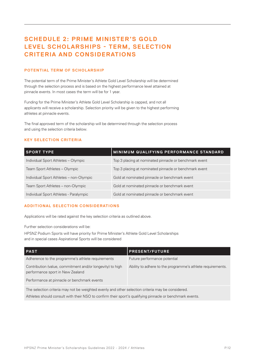# **SCHEDULE 2: PRIME MINISTER'S GOLD LEVEL SCHOLARSHIPS - TERM, SELECTION CRITERIA AND CONSIDERATIONS**

# **POTENTIAL TERM OF SCHOLARSHIP**

The potential term of the Prime Minister's Athlete Gold Level Scholarship will be determined through the selection process and is based on the highest performance level attained at pinnacle events. In most cases the term will be for 1 year.

Funding for the Prime Minister's Athlete Gold Level Scholarship is capped, and not all applicants will receive a scholarship. Selection priority will be given to the highest performing athletes at pinnacle events.

The final approved term of the scholarship will be determined through the selection process and using the selection criteria below.

# **KEY SELECTION CRITERIA**

| <b>SPORT TYPE</b>                       | MINIMUM QUALIFYING PERFORMANCE STANDARD                |
|-----------------------------------------|--------------------------------------------------------|
| Individual Sport Athletes - Olympic     | Top 3 placing at nominated pinnacle or benchmark event |
| Team Sport Athletes - Olympic           | Top 3 placing at nominated pinnacle or benchmark event |
| Individual Sport Athletes - non-Olympic | Gold at nominated pinnacle or benchmark event          |
| Team Sport Athletes - non-Olympic       | Gold at nominated pinnacle or benchmark event          |
| Individual Sport Athletes - Paralympic  | Gold at nominated pinnacle or benchmark event          |

# **ADDITIONAL SELECTION CONSIDERATIONS**

Applications will be rated against the key selection criteria as outlined above.

Further selection considerations will be:

HPSNZ Podium Sports will have priority for Prime Minister's Athlete Gold Level Scholarships and in special cases Aspirational Sports will be considered

| <b>PAST</b>                                                                                              | <b>PRESENT/FUTURE</b>                                      |  |  |
|----------------------------------------------------------------------------------------------------------|------------------------------------------------------------|--|--|
| Adherence to the programme's athlete requirements                                                        | Future performance potential                               |  |  |
| Contribution (value, commitment and/or longevity) to high<br>performance sport in New Zealand            | Ability to adhere to the programme's athlete requirements. |  |  |
| Performance at pinnacle or benchmark events                                                              |                                                            |  |  |
| The selection criteria may not be weighted evenly and other selection criteria may be considered.        |                                                            |  |  |
| Athletes should consult with their NSO to confirm their sport's qualifying pinnacle or benchmark events. |                                                            |  |  |